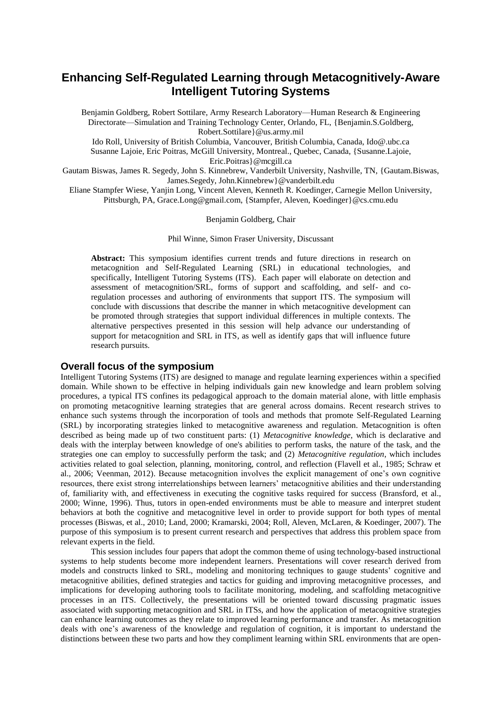# **Enhancing Self-Regulated Learning through Metacognitively-Aware Intelligent Tutoring Systems**

Benjamin Goldberg, Robert Sottilare, Army Research Laboratory—Human Research & Engineering Directorate—Simulation and Training Technology Center, Orlando, FL, {Benjamin.S.Goldberg, Robert.Sottilare}@us.army.mil

Ido Roll, University of British Columbia, Vancouver, British Columbia, Canada, Ido@.ubc.ca Susanne Lajoie, Eric Poitras, McGill University, Montreal., Quebec, Canada, {Susanne.Lajoie, Eric.Poitras}@mcgill.ca

Gautam Biswas, James R. Segedy, John S. Kinnebrew, Vanderbilt University, Nashville, TN, {Gautam.Biswas, James.Segedy, John.Kinnebrew}@vanderbilt.edu

Eliane Stampfer Wiese, Yanjin Long, Vincent Aleven, Kenneth R. Koedinger, Carnegie Mellon University, Pittsburgh, PA, Grace.Long@gmail.com, {Stampfer, Aleven, Koedinger}@cs.cmu.edu

#### Benjamin Goldberg, Chair

Phil Winne, Simon Fraser University, Discussant

**Abstract:** This symposium identifies current trends and future directions in research on metacognition and Self-Regulated Learning (SRL) in educational technologies, and specifically, Intelligent Tutoring Systems (ITS). Each paper will elaborate on detection and assessment of metacognition/SRL, forms of support and scaffolding, and self- and coregulation processes and authoring of environments that support ITS. The symposium will conclude with discussions that describe the manner in which metacognitive development can be promoted through strategies that support individual differences in multiple contexts. The alternative perspectives presented in this session will help advance our understanding of support for metacognition and SRL in ITS, as well as identify gaps that will influence future research pursuits.

## **Overall focus of the symposium**

Intelligent Tutoring Systems (ITS) are designed to manage and regulate learning experiences within a specified domain. While shown to be effective in helping individuals gain new knowledge and learn problem solving procedures, a typical ITS confines its pedagogical approach to the domain material alone, with little emphasis on promoting metacognitive learning strategies that are general across domains. Recent research strives to enhance such systems through the incorporation of tools and methods that promote Self-Regulated Learning (SRL) by incorporating strategies linked to metacognitive awareness and regulation. Metacognition is often described as being made up of two constituent parts: (1) *Metacognitive knowledge*, which is declarative and deals with the interplay between knowledge of one's abilities to perform tasks, the nature of the task, and the strategies one can employ to successfully perform the task; and (2) *Metacognitive regulation*, which includes activities related to goal selection, planning, monitoring, control, and reflection (Flavell et al., 1985; Schraw et al., 2006; Veenman, 2012). Because metacognition involves the explicit management of one's own cognitive resources, there exist strong interrelationships between learners' metacognitive abilities and their understanding of, familiarity with, and effectiveness in executing the cognitive tasks required for success (Bransford, et al., 2000; Winne, 1996). Thus, tutors in open-ended environments must be able to measure and interpret student behaviors at both the cognitive and metacognitive level in order to provide support for both types of mental processes (Biswas, et al., 2010; Land, 2000; Kramarski, 2004; Roll, Aleven, McLaren, & Koedinger, 2007). The purpose of this symposium is to present current research and perspectives that address this problem space from relevant experts in the field.

This session includes four papers that adopt the common theme of using technology-based instructional systems to help students become more independent learners. Presentations will cover research derived from models and constructs linked to SRL, modeling and monitoring techniques to gauge students' cognitive and metacognitive abilities, defined strategies and tactics for guiding and improving metacognitive processes, and implications for developing authoring tools to facilitate monitoring, modeling, and scaffolding metacognitive processes in an ITS. Collectively, the presentations will be oriented toward discussing pragmatic issues associated with supporting metacognition and SRL in ITSs, and how the application of metacognitive strategies can enhance learning outcomes as they relate to improved learning performance and transfer. As metacognition deals with one's awareness of the knowledge and regulation of cognition, it is important to understand the distinctions between these two parts and how they compliment learning within SRL environments that are open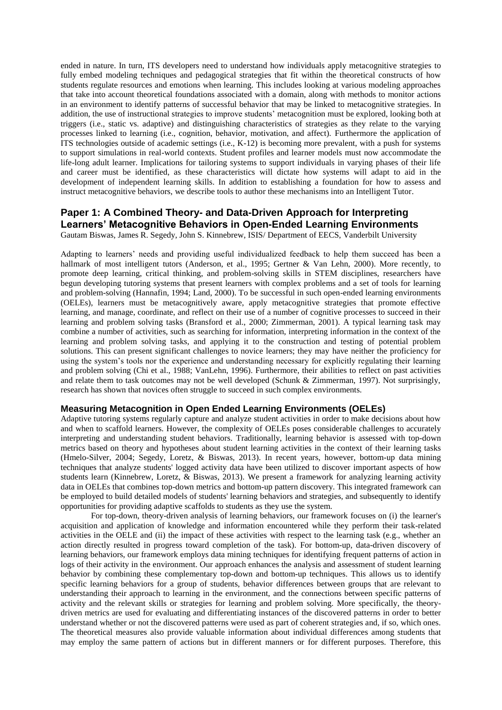ended in nature. In turn, ITS developers need to understand how individuals apply metacognitive strategies to fully embed modeling techniques and pedagogical strategies that fit within the theoretical constructs of how students regulate resources and emotions when learning. This includes looking at various modeling approaches that take into account theoretical foundations associated with a domain, along with methods to monitor actions in an environment to identify patterns of successful behavior that may be linked to metacognitive strategies. In addition, the use of instructional strategies to improve students' metacognition must be explored, looking both at triggers (i.e., static vs. adaptive) and distinguishing characteristics of strategies as they relate to the varying processes linked to learning (i.e., cognition, behavior, motivation, and affect). Furthermore the application of ITS technologies outside of academic settings (i.e., K-12) is becoming more prevalent, with a push for systems to support simulations in real-world contexts. Student profiles and learner models must now accommodate the life-long adult learner. Implications for tailoring systems to support individuals in varying phases of their life and career must be identified, as these characteristics will dictate how systems will adapt to aid in the development of independent learning skills. In addition to establishing a foundation for how to assess and instruct metacognitive behaviors, we describe tools to author these mechanisms into an Intelligent Tutor.

## **Paper 1: A Combined Theory- and Data-Driven Approach for Interpreting Learners' Metacognitive Behaviors in Open-Ended Learning Environments** Gautam Biswas, James R. Segedy, John S. Kinnebrew, ISIS/ Department of EECS, Vanderbilt University

Adapting to learners' needs and providing useful individualized feedback to help them succeed has been a hallmark of most intelligent tutors (Anderson, et al., 1995; Gertner & Van Lehn, 2000). More recently, to promote deep learning, critical thinking, and problem-solving skills in STEM disciplines, researchers have begun developing tutoring systems that present learners with complex problems and a set of tools for learning and problem-solving (Hannafin, 1994; Land, 2000). To be successful in such open-ended learning environments (OELEs), learners must be metacognitively aware, apply metacognitive strategies that promote effective learning, and manage, coordinate, and reflect on their use of a number of cognitive processes to succeed in their learning and problem solving tasks (Bransford et al., 2000; Zimmerman, 2001). A typical learning task may combine a number of activities, such as searching for information, interpreting information in the context of the learning and problem solving tasks, and applying it to the construction and testing of potential problem solutions. This can present significant challenges to novice learners; they may have neither the proficiency for using the system's tools nor the experience and understanding necessary for explicitly regulating their learning and problem solving (Chi et al., 1988; VanLehn, 1996). Furthermore, their abilities to reflect on past activities and relate them to task outcomes may not be well developed (Schunk & Zimmerman, 1997). Not surprisingly, research has shown that novices often struggle to succeed in such complex environments.

#### **Measuring Metacognition in Open Ended Learning Environments (OELEs)**

Adaptive tutoring systems regularly capture and analyze student activities in order to make decisions about how and when to scaffold learners. However, the complexity of OELEs poses considerable challenges to accurately interpreting and understanding student behaviors. Traditionally, learning behavior is assessed with top-down metrics based on theory and hypotheses about student learning activities in the context of their learning tasks (Hmelo-Silver, 2004; Segedy, Loretz, & Biswas, 2013). In recent years, however, bottom-up data mining techniques that analyze students' logged activity data have been utilized to discover important aspects of how students learn (Kinnebrew, Loretz, & Biswas, 2013). We present a framework for analyzing learning activity data in OELEs that combines top-down metrics and bottom-up pattern discovery. This integrated framework can be employed to build detailed models of students' learning behaviors and strategies, and subsequently to identify opportunities for providing adaptive scaffolds to students as they use the system.

For top-down, theory-driven analysis of learning behaviors, our framework focuses on (i) the learner's acquisition and application of knowledge and information encountered while they perform their task-related activities in the OELE and (ii) the impact of these activities with respect to the learning task (e.g., whether an action directly resulted in progress toward completion of the task). For bottom-up, data-driven discovery of learning behaviors, our framework employs data mining techniques for identifying frequent patterns of action in logs of their activity in the environment. Our approach enhances the analysis and assessment of student learning behavior by combining these complementary top-down and bottom-up techniques. This allows us to identify specific learning behaviors for a group of students, behavior differences between groups that are relevant to understanding their approach to learning in the environment, and the connections between specific patterns of activity and the relevant skills or strategies for learning and problem solving. More specifically, the theorydriven metrics are used for evaluating and differentiating instances of the discovered patterns in order to better understand whether or not the discovered patterns were used as part of coherent strategies and, if so, which ones. The theoretical measures also provide valuable information about individual differences among students that may employ the same pattern of actions but in different manners or for different purposes. Therefore, this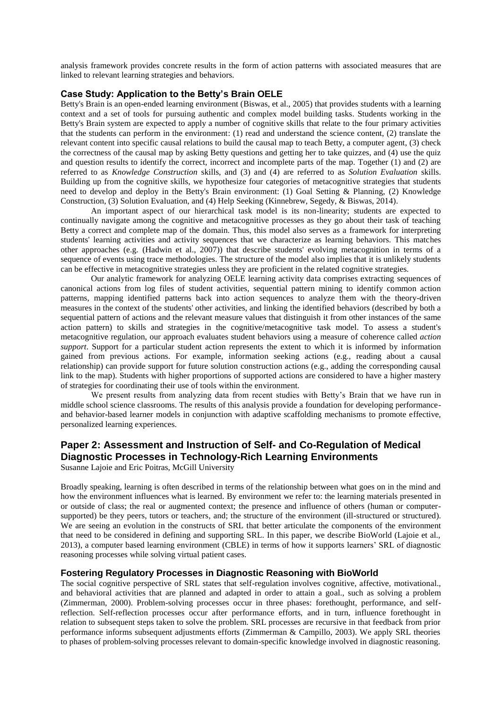analysis framework provides concrete results in the form of action patterns with associated measures that are linked to relevant learning strategies and behaviors.

## **Case Study: Application to the Betty's Brain OELE**

Betty's Brain is an open-ended learning environment (Biswas, et al., 2005) that provides students with a learning context and a set of tools for pursuing authentic and complex model building tasks. Students working in the Betty's Brain system are expected to apply a number of cognitive skills that relate to the four primary activities that the students can perform in the environment: (1) read and understand the science content, (2) translate the relevant content into specific causal relations to build the causal map to teach Betty, a computer agent, (3) check the correctness of the causal map by asking Betty questions and getting her to take quizzes, and (4) use the quiz and question results to identify the correct, incorrect and incomplete parts of the map. Together (1) and (2) are referred to as *Knowledge Construction* skills, and (3) and (4) are referred to as *Solution Evaluation* skills. Building up from the cognitive skills, we hypothesize four categories of metacognitive strategies that students need to develop and deploy in the Betty's Brain environment: (1) Goal Setting & Planning, (2) Knowledge Construction, (3) Solution Evaluation, and (4) Help Seeking (Kinnebrew, Segedy, & Biswas, 2014).

An important aspect of our hierarchical task model is its non-linearity; students are expected to continually navigate among the cognitive and metacognitive processes as they go about their task of teaching Betty a correct and complete map of the domain. Thus, this model also serves as a framework for interpreting students' learning activities and activity sequences that we characterize as learning behaviors. This matches other approaches (e.g. (Hadwin et al., 2007)) that describe students' evolving metacognition in terms of a sequence of events using trace methodologies. The structure of the model also implies that it is unlikely students can be effective in metacognitive strategies unless they are proficient in the related cognitive strategies.

Our analytic framework for analyzing OELE learning activity data comprises extracting sequences of canonical actions from log files of student activities, sequential pattern mining to identify common action patterns, mapping identified patterns back into action sequences to analyze them with the theory-driven measures in the context of the students' other activities, and linking the identified behaviors (described by both a sequential pattern of actions and the relevant measure values that distinguish it from other instances of the same action pattern) to skills and strategies in the cognitive/metacognitive task model. To assess a student's metacognitive regulation, our approach evaluates student behaviors using a measure of coherence called *action support*. Support for a particular student action represents the extent to which it is informed by information gained from previous actions. For example, information seeking actions (e.g., reading about a causal relationship) can provide support for future solution construction actions (e.g., adding the corresponding causal link to the map). Students with higher proportions of supported actions are considered to have a higher mastery of strategies for coordinating their use of tools within the environment.

We present results from analyzing data from recent studies with Betty's Brain that we have run in middle school science classrooms. The results of this analysis provide a foundation for developing performanceand behavior-based learner models in conjunction with adaptive scaffolding mechanisms to promote effective, personalized learning experiences.

# **Paper 2: Assessment and Instruction of Self- and Co-Regulation of Medical Diagnostic Processes in Technology-Rich Learning Environments**

Susanne Lajoie and Eric Poitras, McGill University

Broadly speaking, learning is often described in terms of the relationship between what goes on in the mind and how the environment influences what is learned. By environment we refer to: the learning materials presented in or outside of class; the real or augmented context; the presence and influence of others (human or computersupported) be they peers, tutors or teachers, and; the structure of the environment (ill-structured or structured). We are seeing an evolution in the constructs of SRL that better articulate the components of the environment that need to be considered in defining and supporting SRL. In this paper, we describe BioWorld (Lajoie et al., 2013), a computer based learning environment (CBLE) in terms of how it supports learners' SRL of diagnostic reasoning processes while solving virtual patient cases.

#### **Fostering Regulatory Processes in Diagnostic Reasoning with BioWorld**

The social cognitive perspective of SRL states that self-regulation involves cognitive, affective, motivational., and behavioral activities that are planned and adapted in order to attain a goal., such as solving a problem (Zimmerman, 2000). Problem-solving processes occur in three phases: forethought, performance, and selfreflection. Self-reflection processes occur after performance efforts, and in turn, influence forethought in relation to subsequent steps taken to solve the problem. SRL processes are recursive in that feedback from prior performance informs subsequent adjustments efforts (Zimmerman & Campillo, 2003). We apply SRL theories to phases of problem-solving processes relevant to domain-specific knowledge involved in diagnostic reasoning.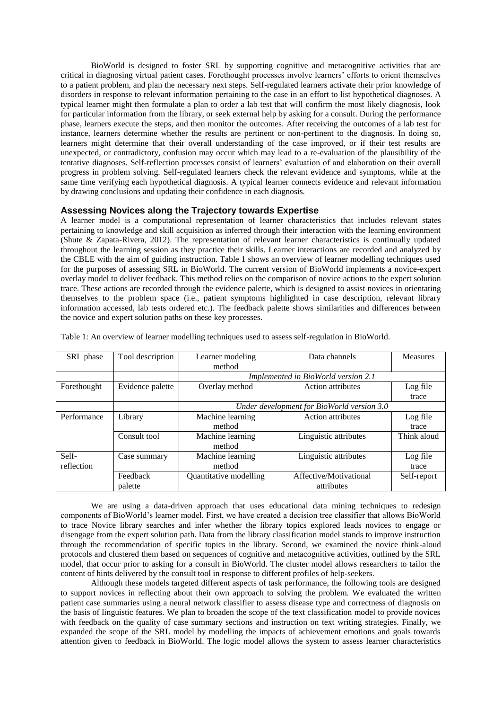BioWorld is designed to foster SRL by supporting cognitive and metacognitive activities that are critical in diagnosing virtual patient cases. Forethought processes involve learners' efforts to orient themselves to a patient problem, and plan the necessary next steps. Self-regulated learners activate their prior knowledge of disorders in response to relevant information pertaining to the case in an effort to list hypothetical diagnoses. A typical learner might then formulate a plan to order a lab test that will confirm the most likely diagnosis, look for particular information from the library, or seek external help by asking for a consult. During the performance phase, learners execute the steps, and then monitor the outcomes. After receiving the outcomes of a lab test for instance, learners determine whether the results are pertinent or non-pertinent to the diagnosis. In doing so, learners might determine that their overall understanding of the case improved, or if their test results are unexpected, or contradictory, confusion may occur which may lead to a re-evaluation of the plausibility of the tentative diagnoses. Self-reflection processes consist of learners' evaluation of and elaboration on their overall progress in problem solving. Self-regulated learners check the relevant evidence and symptoms, while at the same time verifying each hypothetical diagnosis. A typical learner connects evidence and relevant information by drawing conclusions and updating their confidence in each diagnosis.

## **Assessing Novices along the Trajectory towards Expertise**

A learner model is a computational representation of learner characteristics that includes relevant states pertaining to knowledge and skill acquisition as inferred through their interaction with the learning environment (Shute & Zapata-Rivera, 2012). The representation of relevant learner characteristics is continually updated throughout the learning session as they practice their skills. Learner interactions are recorded and analyzed by the CBLE with the aim of guiding instruction. Table 1 shows an overview of learner modelling techniques used for the purposes of assessing SRL in BioWorld. The current version of BioWorld implements a novice-expert overlay model to deliver feedback. This method relies on the comparison of novice actions to the expert solution trace. These actions are recorded through the evidence palette, which is designed to assist novices in orientating themselves to the problem space (i.e., patient symptoms highlighted in case description, relevant library information accessed, lab tests ordered etc.). The feedback palette shows similarities and differences between the novice and expert solution paths on these key processes.

| SRL phase   | Tool description | Learner modeling                           | Data channels            | <b>Measures</b> |
|-------------|------------------|--------------------------------------------|--------------------------|-----------------|
|             |                  |                                            |                          |                 |
|             |                  | method                                     |                          |                 |
|             |                  | Implemented in BioWorld version 2.1        |                          |                 |
| Forethought | Evidence palette | Overlay method                             | <b>Action attributes</b> | Log file        |
|             |                  |                                            |                          | trace           |
|             |                  | Under development for BioWorld version 3.0 |                          |                 |
| Performance | Library          | Machine learning                           | <b>Action attributes</b> | Log file        |
|             |                  | method                                     |                          | trace           |
|             | Consult tool     | Machine learning                           | Linguistic attributes    | Think aloud     |
|             |                  | method                                     |                          |                 |
| Self-       | Case summary     | Machine learning                           | Linguistic attributes    | Log file        |
| reflection  |                  | method                                     |                          | trace           |
|             | Feedback         | Quantitative modelling                     | Affective/Motivational   | Self-report     |
|             | palette          |                                            | attributes               |                 |

Table 1: An overview of learner modelling techniques used to assess self-regulation in BioWorld.

We are using a data-driven approach that uses educational data mining techniques to redesign components of BioWorld's learner model. First, we have created a decision tree classifier that allows BioWorld to trace Novice library searches and infer whether the library topics explored leads novices to engage or disengage from the expert solution path. Data from the library classification model stands to improve instruction through the recommendation of specific topics in the library. Second, we examined the novice think-aloud protocols and clustered them based on sequences of cognitive and metacognitive activities, outlined by the SRL model, that occur prior to asking for a consult in BioWorld. The cluster model allows researchers to tailor the content of hints delivered by the consult tool in response to different profiles of help-seekers.

Although these models targeted different aspects of task performance, the following tools are designed to support novices in reflecting about their own approach to solving the problem. We evaluated the written patient case summaries using a neural network classifier to assess disease type and correctness of diagnosis on the basis of linguistic features. We plan to broaden the scope of the text classification model to provide novices with feedback on the quality of case summary sections and instruction on text writing strategies. Finally, we expanded the scope of the SRL model by modelling the impacts of achievement emotions and goals towards attention given to feedback in BioWorld. The logic model allows the system to assess learner characteristics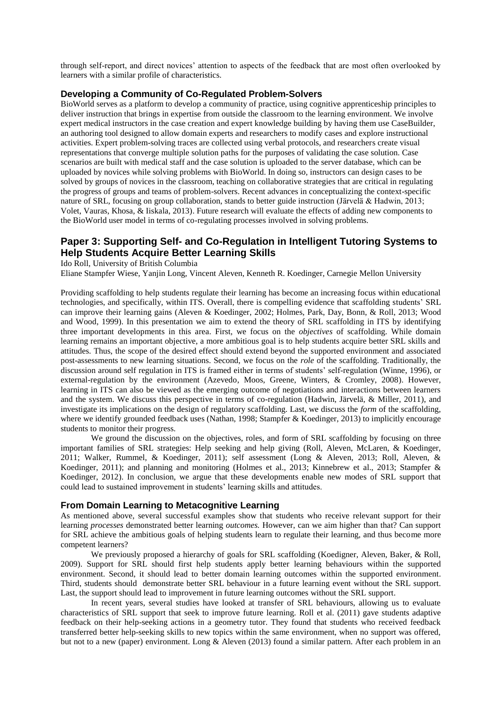through self-report, and direct novices' attention to aspects of the feedback that are most often overlooked by learners with a similar profile of characteristics.

## **Developing a Community of Co-Regulated Problem-Solvers**

BioWorld serves as a platform to develop a community of practice, using cognitive apprenticeship principles to deliver instruction that brings in expertise from outside the classroom to the learning environment. We involve expert medical instructors in the case creation and expert knowledge building by having them use CaseBuilder, an authoring tool designed to allow domain experts and researchers to modify cases and explore instructional activities. Expert problem-solving traces are collected using verbal protocols, and researchers create visual representations that converge multiple solution paths for the purposes of validating the case solution. Case scenarios are built with medical staff and the case solution is uploaded to the server database, which can be uploaded by novices while solving problems with BioWorld. In doing so, instructors can design cases to be solved by groups of novices in the classroom, teaching on collaborative strategies that are critical in regulating the progress of groups and teams of problem-solvers. Recent advances in conceptualizing the context-specific nature of SRL, focusing on group collaboration, stands to better guide instruction (Järvelä & Hadwin, 2013; Volet, Vauras, Khosa, & Iiskala, 2013). Future research will evaluate the effects of adding new components to the BioWorld user model in terms of co-regulating processes involved in solving problems.

# **Paper 3: Supporting Self- and Co-Regulation in Intelligent Tutoring Systems to Help Students Acquire Better Learning Skills**

Ido Roll, University of British Columbia

Eliane Stampfer Wiese, Yanjin Long, Vincent Aleven, Kenneth R. Koedinger, Carnegie Mellon University

Providing scaffolding to help students regulate their learning has become an increasing focus within educational technologies, and specifically, within ITS. Overall, there is compelling evidence that scaffolding students' SRL can improve their learning gains (Aleven & Koedinger, 2002; Holmes, Park, Day, Bonn, & Roll, 2013; Wood and Wood, 1999). In this presentation we aim to extend the theory of SRL scaffolding in ITS by identifying three important developments in this area. First, we focus on the *objectives* of scaffolding. While domain learning remains an important objective, a more ambitious goal is to help students acquire better SRL skills and attitudes. Thus, the scope of the desired effect should extend beyond the supported environment and associated post-assessments to new learning situations. Second, we focus on the *role* of the scaffolding. Traditionally, the discussion around self regulation in ITS is framed either in terms of students' self-regulation (Winne, 1996), or external-regulation by the environment (Azevedo, Moos, Greene, Winters, & Cromley, 2008). However, learning in ITS can also be viewed as the emerging outcome of negotiations and interactions between learners and the system. We discuss this perspective in terms of co-regulation (Hadwin, Järvelä, & Miller, 2011), and investigate its implications on the design of regulatory scaffolding. Last, we discuss the *form* of the scaffolding, where we identify grounded feedback uses (Nathan, 1998; Stampfer & Koedinger, 2013) to implicitly encourage students to monitor their progress.

We ground the discussion on the objectives, roles, and form of SRL scaffolding by focusing on three important families of SRL strategies: Help seeking and help giving (Roll, Aleven, McLaren, & Koedinger, 2011; Walker, Rummel, & Koedinger, 2011); self assessment (Long & Aleven, 2013; Roll, Aleven, & Koedinger, 2011); and planning and monitoring (Holmes et al., 2013; Kinnebrew et al., 2013; Stampfer & Koedinger, 2012). In conclusion, we argue that these developments enable new modes of SRL support that could lead to sustained improvement in students' learning skills and attitudes.

## **From Domain Learning to Metacognitive Learning**

As mentioned above, several successful examples show that students who receive relevant support for their learning *processes* demonstrated better learning *outcomes.* However, can we aim higher than that? Can support for SRL achieve the ambitious goals of helping students learn to regulate their learning, and thus become more competent learners?

We previously proposed a hierarchy of goals for SRL scaffolding (Koedigner, Aleven, Baker, & Roll, 2009). Support for SRL should first help students apply better learning behaviours within the supported environment. Second, it should lead to better domain learning outcomes within the supported environment. Third, students should demonstrate better SRL behaviour in a future learning event without the SRL support. Last, the support should lead to improvement in future learning outcomes without the SRL support.

In recent years, several studies have looked at transfer of SRL behaviours, allowing us to evaluate characteristics of SRL support that seek to improve future learning. Roll et al. (2011) gave students adaptive feedback on their help-seeking actions in a geometry tutor. They found that students who received feedback transferred better help-seeking skills to new topics within the same environment, when no support was offered, but not to a new (paper) environment. Long & Aleven (2013) found a similar pattern. After each problem in an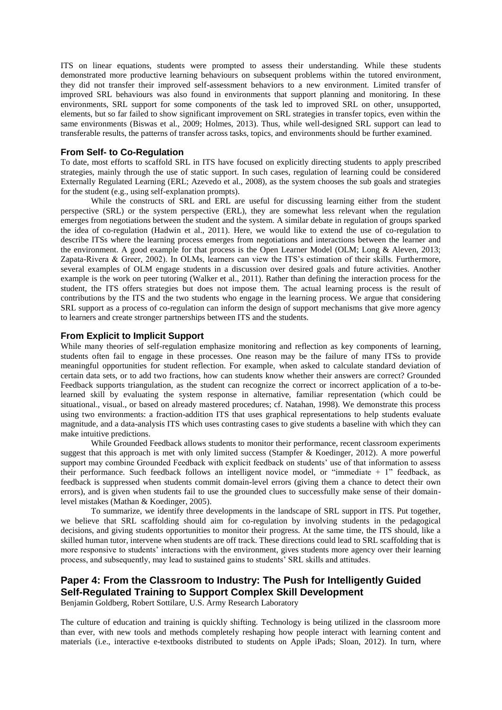ITS on linear equations, students were prompted to assess their understanding. While these students demonstrated more productive learning behaviours on subsequent problems within the tutored environment, they did not transfer their improved self-assessment behaviors to a new environment. Limited transfer of improved SRL behaviours was also found in environments that support planning and monitoring. In these environments, SRL support for some components of the task led to improved SRL on other, unsupported, elements, but so far failed to show significant improvement on SRL strategies in transfer topics, even within the same environments (Biswas et al., 2009; Holmes, 2013). Thus, while well-designed SRL support can lead to transferable results, the patterns of transfer across tasks, topics, and environments should be further examined.

## **From Self- to Co-Regulation**

To date, most efforts to scaffold SRL in ITS have focused on explicitly directing students to apply prescribed strategies, mainly through the use of static support. In such cases, regulation of learning could be considered Externally Regulated Learning (ERL; Azevedo et al., 2008), as the system chooses the sub goals and strategies for the student (e.g., using self-explanation prompts).

While the constructs of SRL and ERL are useful for discussing learning either from the student perspective (SRL) or the system perspective (ERL), they are somewhat less relevant when the regulation emerges from negotiations between the student and the system. A similar debate in regulation of groups sparked the idea of co-regulation (Hadwin et al., 2011). Here, we would like to extend the use of co-regulation to describe ITSs where the learning process emerges from negotiations and interactions between the learner and the environment. A good example for that process is the Open Learner Model (OLM; Long & Aleven, 2013; Zapata-Rivera & Greer, 2002). In OLMs, learners can view the ITS's estimation of their skills. Furthermore, several examples of OLM engage students in a discussion over desired goals and future activities. Another example is the work on peer tutoring (Walker et al., 2011). Rather than defining the interaction process for the student, the ITS offers strategies but does not impose them. The actual learning process is the result of contributions by the ITS and the two students who engage in the learning process. We argue that considering SRL support as a process of co-regulation can inform the design of support mechanisms that give more agency to learners and create stronger partnerships between ITS and the students.

## **From Explicit to Implicit Support**

While many theories of self-regulation emphasize monitoring and reflection as key components of learning, students often fail to engage in these processes. One reason may be the failure of many ITSs to provide meaningful opportunities for student reflection. For example, when asked to calculate standard deviation of certain data sets, or to add two fractions, how can students know whether their answers are correct? Grounded Feedback supports triangulation, as the student can recognize the correct or incorrect application of a to-belearned skill by evaluating the system response in alternative, familiar representation (which could be situational., visual., or based on already mastered procedures; cf. Natahan, 1998). We demonstrate this process using two environments: a fraction-addition ITS that uses graphical representations to help students evaluate magnitude, and a data-analysis ITS which uses contrasting cases to give students a baseline with which they can make intuitive predictions.

While Grounded Feedback allows students to monitor their performance, recent classroom experiments suggest that this approach is met with only limited success (Stampfer & Koedinger, 2012). A more powerful support may combine Grounded Feedback with explicit feedback on students' use of that information to assess their performance. Such feedback follows an intelligent novice model, or "immediate + 1" feedback, as feedback is suppressed when students commit domain-level errors (giving them a chance to detect their own errors), and is given when students fail to use the grounded clues to successfully make sense of their domainlevel mistakes (Mathan & Koedinger, 2005).

To summarize, we identify three developments in the landscape of SRL support in ITS. Put together, we believe that SRL scaffolding should aim for co-regulation by involving students in the pedagogical decisions, and giving students opportunities to monitor their progress. At the same time, the ITS should, like a skilled human tutor, intervene when students are off track. These directions could lead to SRL scaffolding that is more responsive to students' interactions with the environment, gives students more agency over their learning process, and subsequently, may lead to sustained gains to students' SRL skills and attitudes.

# **Paper 4: From the Classroom to Industry: The Push for Intelligently Guided Self-Regulated Training to Support Complex Skill Development**

Benjamin Goldberg, Robert Sottilare, U.S. Army Research Laboratory

The culture of education and training is quickly shifting. Technology is being utilized in the classroom more than ever, with new tools and methods completely reshaping how people interact with learning content and materials (i.e., interactive e-textbooks distributed to students on Apple iPads; Sloan, 2012). In turn, where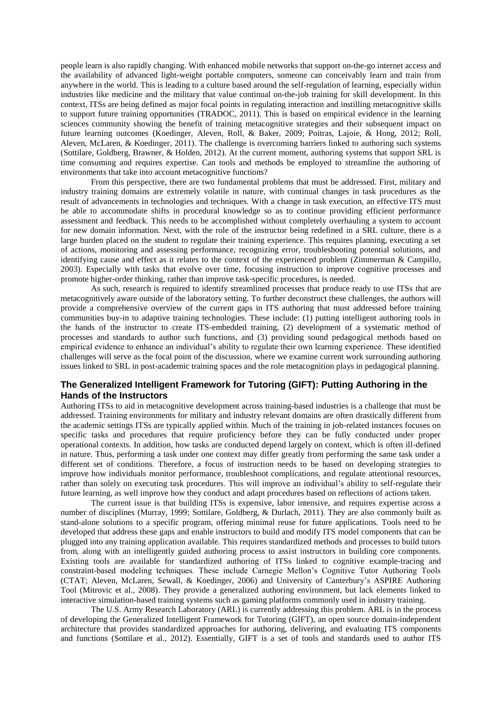people learn is also rapidly changing. With enhanced mobile networks that support on-the-go internet access and the availability of advanced light-weight portable computers, someone can conceivably learn and train from anywhere in the world. This is leading to a culture based around the self-regulation of learning, especially within industries like medicine and the military that value continual on-the-job training for skill development. In this context, ITSs are being defined as major focal points in regulating interaction and instilling metacognitive skills to support future training opportunities [\(TRADOC, 2011\)](#page-9-0). This is based on empirical evidence in the learning sciences community showing the benefit of training metacognitive strategies and their subsequent impact on future learning outcomes [\(Koedinger, Aleven, Roll, & Baker, 2009;](#page-8-0) [Poitras, Lajoie, & Hong, 2012;](#page-8-1) [Roll,](#page-8-2)  [Aleven, McLaren, & Koedinger, 2011](#page-8-2)). The challenge is overcoming barriers linked to authoring such systems [\(Sottilare, Goldberg, Brawner, & Holden, 2012\)](#page-9-1). At the current moment, authoring systems that support SRL is time consuming and requires expertise. Can tools and methods be employed to streamline the authoring of environments that take into account metacognitive functions?

From this perspective, there are two fundamental problems that must be addressed. First, military and industry training domains are extremely volatile in nature, with continual changes in task procedures as the result of advancements in technologies and techniques. With a change in task execution, an effective ITS must be able to accommodate shifts in procedural knowledge so as to continue providing efficient performance assessment and feedback. This needs to be accomplished without completely overhauling a system to account for new domain information. Next, with the role of the instructor being redefined in a SRL culture, there is a large burden placed on the student to regulate their training experience. This requires planning, executing a set of actions, monitoring and assessing performance, recognizing error, troubleshooting potential solutions, and identifying cause and effect as it relates to the context of the experienced problem (Zimmerman & Campillo, 2003). Especially with tasks that evolve over time, focusing instruction to improve cognitive processes and promote higher-order thinking, rather than improve task-specific procedures, is needed.

As such, research is required to identify streamlined processes that produce ready to use ITSs that are metacognitively aware outside of the laboratory setting. To further deconstruct these challenges, the authors will provide a comprehensive overview of the current gaps in ITS authoring that must addressed before training communities buy-in to adaptive training technologies. These include: (1) putting intelligent authoring tools in the hands of the instructor to create ITS-embedded training, (2) development of a systematic method of processes and standards to author such functions, and (3) providing sound pedagogical methods based on empirical evidence to enhance an individual's ability to regulate their own learning experience. These identified challenges will serve as the focal point of the discussion, where we examine current work surrounding authoring issues linked to SRL in post-academic training spaces and the role metacognition plays in pedagogical planning.

## **The Generalized Intelligent Framework for Tutoring (GIFT): Putting Authoring in the Hands of the Instructors**

Authoring ITSs to aid in metacognitive development across training-based industries is a challenge that must be addressed. Training environments for military and industry relevant domains are often drastically different from the academic settings ITSs are typically applied within. Much of the training in job-related instances focuses on specific tasks and procedures that require proficiency before they can be fully conducted under proper operational contexts. In addition, how tasks are conducted depend largely on context, which is often ill-defined in nature. Thus, performing a task under one context may differ greatly from performing the same task under a different set of conditions. Therefore, a focus of instruction needs to be based on developing strategies to improve how individuals monitor performance, troubleshoot complications, and regulate attentional resources, rather than solely on executing task procedures. This will improve an individual's ability to self-regulate their future learning, as well improve how they conduct and adapt procedures based on reflections of actions taken.

The current issue is that building ITSs is expensive, labor intensive, and requires expertise across a number of disciplines [\(Murray, 1999;](#page-8-3) [Sottilare, Goldberg, & Durlach, 2011\)](#page-9-2). They are also commonly built as stand-alone solutions to a specific program, offering minimal reuse for future applications. Tools need to be developed that address these gaps and enable instructors to build and modify ITS model components that can be plugged into any training application available. This requires standardized methods and processes to build tutors from, along with an intelligently guided authoring process to assist instructors in building core components. Existing tools are available for standardized authoring of ITSs linked to cognitive example-tracing and constraint-based modeling techniques. These include Carnegie Mellon's Cognitive Tutor Authoring Tools (CTAT; Aleven, McLaren, Sewall, & Koedinger, 2006) and University of Canterbury's ASPIRE Authoring Tool (Mitrovic et al., 2008). They provide a generalized authoring environment, but lack elements linked to interactive simulation-based training systems such as gaming platforms commonly used in industry training.

The U.S. Army Research Laboratory (ARL) is currently addressing this problem. ARL is in the process of developing the Generalized Intelligent Framework for Tutoring (GIFT), an open source domain-independent architecture that provides standardized approaches for authoring, delivering, and evaluating ITS components and functions (Sottilare et al., 2012). Essentially, GIFT is a set of tools and standards used to author ITS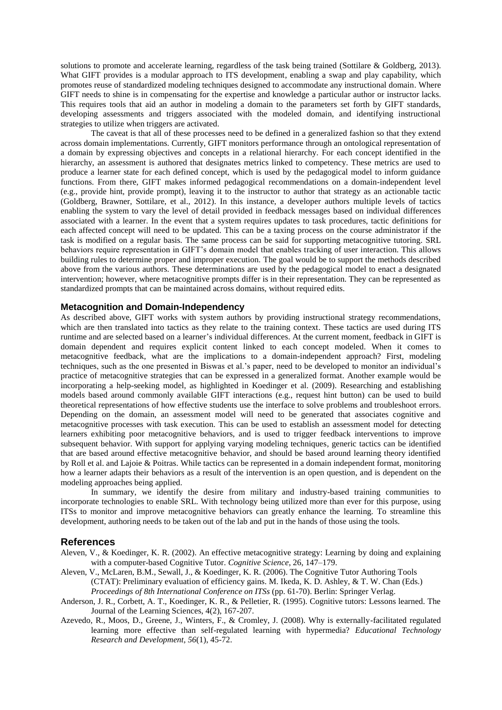solutions to promote and accelerate learning, regardless of the task being trained [\(Sottilare & Goldberg, 2013\)](#page-9-3). What GIFT provides is a modular approach to ITS development, enabling a swap and play capability, which promotes reuse of standardized modeling techniques designed to accommodate any instructional domain. Where GIFT needs to shine is in compensating for the expertise and knowledge a particular author or instructor lacks. This requires tools that aid an author in modeling a domain to the parameters set forth by GIFT standards, developing assessments and triggers associated with the modeled domain, and identifying instructional strategies to utilize when triggers are activated.

The caveat is that all of these processes need to be defined in a generalized fashion so that they extend across domain implementations. Currently, GIFT monitors performance through an ontological representation of a domain by expressing objectives and concepts in a relational hierarchy. For each concept identified in the hierarchy, an assessment is authored that designates metrics linked to competency. These metrics are used to produce a learner state for each defined concept, which is used by the pedagogical model to inform guidance functions. From there, GIFT makes informed pedagogical recommendations on a domain-independent level (e.g., provide hint, provide prompt), leaving it to the instructor to author that strategy as an actionable tactic [\(Goldberg, Brawner, Sottilare, et al., 2012\)](#page-8-4). In this instance, a developer authors multiple levels of tactics enabling the system to vary the level of detail provided in feedback messages based on individual differences associated with a learner. In the event that a system requires updates to task procedures, tactic definitions for each affected concept will need to be updated. This can be a taxing process on the course administrator if the task is modified on a regular basis. The same process can be said for supporting metacognitive tutoring. SRL behaviors require representation in GIFT's domain model that enables tracking of user interaction. This allows building rules to determine proper and improper execution. The goal would be to support the methods described above from the various authors. These determinations are used by the pedagogical model to enact a designated intervention; however, where metacognitive prompts differ is in their representation. They can be represented as standardized prompts that can be maintained across domains, without required edits.

## **Metacognition and Domain-Independency**

As described above, GIFT works with system authors by providing instructional strategy recommendations, which are then translated into tactics as they relate to the training context. These tactics are used during ITS runtime and are selected based on a learner's individual differences. At the current moment, feedback in GIFT is domain dependent and requires explicit content linked to each concept modeled. When it comes to metacognitive feedback, what are the implications to a domain-independent approach? First, modeling techniques, such as the one presented in Biswas et al.'s paper, need to be developed to monitor an individual's practice of metacognitive strategies that can be expressed in a generalized format. Another example would be incorporating a help-seeking model, as highlighted in [Koedinger et al. \(2009\)](#page-8-0). Researching and establishing models based around commonly available GIFT interactions (e.g., request hint button) can be used to build theoretical representations of how effective students use the interface to solve problems and troubleshoot errors. Depending on the domain, an assessment model will need to be generated that associates cognitive and metacognitive processes with task execution. This can be used to establish an assessment model for detecting learners exhibiting poor metacognitive behaviors, and is used to trigger feedback interventions to improve subsequent behavior. With support for applying varying modeling techniques, generic tactics can be identified that are based around effective metacognitive behavior, and should be based around learning theory identified by Roll et al. and Lajoie & Poitras. While tactics can be represented in a domain independent format, monitoring how a learner adapts their behaviors as a result of the intervention is an open question, and is dependent on the modeling approaches being applied.

In summary, we identify the desire from military and industry-based training communities to incorporate technologies to enable SRL. With technology being utilized more than ever for this purpose, using ITSs to monitor and improve metacognitive behaviors can greatly enhance the learning. To streamline this development, authoring needs to be taken out of the lab and put in the hands of those using the tools.

## **References**

- Aleven, V., & Koedinger, K. R. (2002). An effective metacognitive strategy: Learning by doing and explaining with a computer-based Cognitive Tutor. *Cognitive Science*, 26, 147–179.
- Aleven, V., McLaren, B.M., Sewall, J., & Koedinger, K. R. (2006). The Cognitive Tutor Authoring Tools (CTAT): Preliminary evaluation of efficiency gains. M. Ikeda, K. D. Ashley, & T. W. Chan (Eds.) *Proceedings of 8th International Conference on ITSs* (pp. 61-70). Berlin: Springer Verlag.
- Anderson, J. R., Corbett, A. T., Koedinger, K. R., & Pelletier, R. (1995). Cognitive tutors: Lessons learned. The Journal of the Learning Sciences, 4(2), 167-207.
- Azevedo, R., Moos, D., Greene, J., Winters, F., & Cromley, J. (2008). Why is externally-facilitated regulated learning more effective than self-regulated learning with hypermedia? *Educational Technology Research and Development*, *56*(1), 45-72.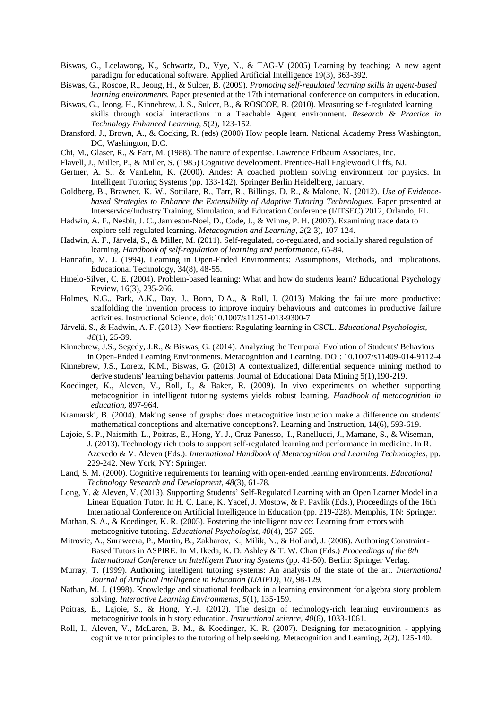- Biswas, G., Leelawong, K., Schwartz, D., Vye, N., & TAG-V (2005) Learning by teaching: A new agent paradigm for educational software. Applied Artificial Intelligence 19(3), 363-392.
- Biswas, G., Roscoe, R., Jeong, H., & Sulcer, B. (2009). *Promoting self-regulated learning skills in agent-based learning environments.* Paper presented at the 17th international conference on computers in education.
- Biswas, G., Jeong, H., Kinnebrew, J. S., Sulcer, B., & ROSCOE, R. (2010). Measuring self-regulated learning skills through social interactions in a Teachable Agent environment. *Research & Practice in Technology Enhanced Learning, 5*(2), 123-152.
- Bransford, J., Brown, A., & Cocking, R. (eds) (2000) How people learn. National Academy Press Washington, DC, Washington, D.C.
- Chi, M., Glaser, R., & Farr, M. (1988). The nature of expertise. Lawrence Erlbaum Associates, Inc.
- Flavell, J., Miller, P., & Miller, S. (1985) Cognitive development. Prentice-Hall Englewood Cliffs, NJ.
- Gertner, A. S., & VanLehn, K. (2000). Andes: A coached problem solving environment for physics. In Intelligent Tutoring Systems (pp. 133-142). Springer Berlin Heidelberg, January.
- <span id="page-8-4"></span>Goldberg, B., Brawner, K. W., Sottilare, R., Tarr, R., Billings, D. R., & Malone, N. (2012). *Use of Evidencebased Strategies to Enhance the Extensibility of Adaptive Tutoring Technologies.* Paper presented at Interservice/Industry Training, Simulation, and Education Conference (I/ITSEC) 2012, Orlando, FL.
- Hadwin, A. F., Nesbit, J. C., Jamieson-Noel, D., Code, J., & Winne, P. H. (2007). Examining trace data to explore self-regulated learning. *Metacognition and Learning, 2*(2-3), 107-124.
- Hadwin, A. F., Järvelä, S., & Miller, M. (2011). Self-regulated, co-regulated, and socially shared regulation of learning. *Handbook of self-regulation of learning and performance*, 65-84.
- Hannafin, M. J. (1994). Learning in Open-Ended Environments: Assumptions, Methods, and Implications. Educational Technology, 34(8), 48-55.
- Hmelo-Silver, C. E. (2004). Problem-based learning: What and how do students learn? Educational Psychology Review, 16(3), 235-266.
- Holmes, N.G., Park, A.K., Day, J., Bonn, D.A., & Roll, I. (2013) Making the failure more productive: scaffolding the invention process to improve inquiry behaviours and outcomes in productive failure activities. Instructional Science, doi:10.1007/s11251-013-9300-7
- Jӓrvelӓ, S., & Hadwin, A. F. (2013). New frontiers: Regulating learning in CSCL. *Educational Psychologist, 48*(1), 25-39.
- Kinnebrew, J.S., Segedy, J.R., & Biswas, G. (2014). Analyzing the Temporal Evolution of Students' Behaviors in Open-Ended Learning Environments. Metacognition and Learning. DOI: 10.1007/s11409-014-9112-4
- <span id="page-8-0"></span>Kinnebrew, J.S., Loretz, K.M., Biswas, G. (2013) A contextualized, differential sequence mining method to derive students' learning behavior patterns. Journal of Educational Data Mining 5(1),190-219.
- Koedinger, K., Aleven, V., Roll, I., & Baker, R. (2009). In vivo experiments on whether supporting metacognition in intelligent tutoring systems yields robust learning. *Handbook of metacognition in education*, 897-964.
- Kramarski, B. (2004). Making sense of graphs: does metacognitive instruction make a difference on students' mathematical conceptions and alternative conceptions?. Learning and Instruction, 14(6), 593-619.
- <span id="page-8-3"></span>Lajoie, S. P., Naismith, L., Poitras, E., Hong, Y. J., Cruz-Panesso, I., Ranellucci, J., Mamane, S., & Wiseman, J. (2013). Technology rich tools to support self-regulated learning and performance in medicine. In R. Azevedo & V. Aleven (Eds.). *International Handbook of Metacognition and Learning Technologies,* pp. 229-242. New York, NY: Springer.
- Land, S. M. (2000). Cognitive requirements for learning with open-ended learning environments. *Educational Technology Research and Development, 48*(3), 61-78.
- Long, Y. & Aleven, V. (2013). Supporting Students' Self-Regulated Learning with an Open Learner Model in a Linear Equation Tutor. In H. C. Lane, K. Yacef, J. Mostow, & P. Pavlik (Eds.), Proceedings of the 16th International Conference on Artificial Intelligence in Education (pp. 219-228). Memphis, TN: Springer.
- Mathan, S. A., & Koedinger, K. R. (2005). Fostering the intelligent novice: Learning from errors with metacognitive tutoring. *Educational Psychologist, 40*(4), 257-265.
- Mitrovic, A., Suraweera, P., Martin, B., Zakharov, K., Milik, N., & Holland, J. (2006). Authoring Constraint-Based Tutors in ASPIRE. In M. Ikeda, K. D. Ashley & T. W. Chan (Eds.) *Proceedings of the 8th International Conference on Intelligent Tutoring Systems* (pp. 41-50). Berlin: Springer Verlag.
- Murray, T. (1999). Authoring intelligent tutoring systems: An analysis of the state of the art. *International Journal of Artificial Intelligence in Education (IJAIED), 10*, 98-129.
- <span id="page-8-1"></span>Nathan, M. J. (1998). Knowledge and situational feedback in a learning environment for algebra story problem solving. *Interactive Learning Environments*, *5*(1), 135-159.
- Poitras, E., Lajoie, S., & Hong, Y.-J. (2012). The design of technology-rich learning environments as metacognitive tools in history education. *Instructional science, 40*(6), 1033-1061.
- <span id="page-8-2"></span>Roll, I., Aleven, V., McLaren, B. M., & Koedinger, K. R. (2007). Designing for metacognition - applying cognitive tutor principles to the tutoring of help seeking. Metacognition and Learning, 2(2), 125-140.